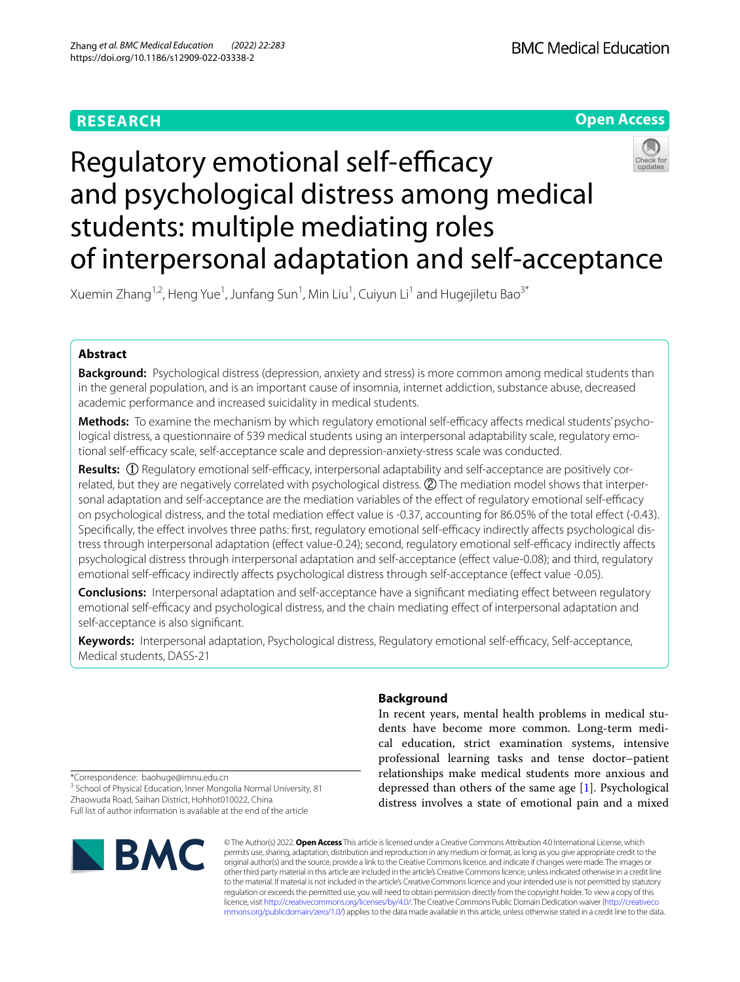# **RESEARCH**



# Regulatory emotional self-efficacy and psychological distress among medical students: multiple mediating roles of interpersonal adaptation and self-acceptance

Xuemin Zhang<sup>1,2</sup>, Heng Yue<sup>1</sup>, Junfang Sun<sup>1</sup>, Min Liu<sup>1</sup>, Cuiyun Li<sup>1</sup> and Hugejiletu Bao<sup>3\*</sup>

# **Abstract**

**Background:** Psychological distress (depression, anxiety and stress) is more common among medical students than in the general population, and is an important cause of insomnia, internet addiction, substance abuse, decreased academic performance and increased suicidality in medical students.

**Methods:** To examine the mechanism by which regulatory emotional self-efficacy affects medical students' psychological distress, a questionnaire of 539 medical students using an interpersonal adaptability scale, regulatory emotional self-efficacy scale, self-acceptance scale and depression-anxiety-stress scale was conducted.

**Results:** (1) Regulatory emotional self-efficacy, interpersonal adaptability and self-acceptance are positively correlated, but they are negatively correlated with psychological distress. ② The mediation model shows that interpersonal adaptation and self-acceptance are the mediation variables of the effect of regulatory emotional self-efficacy on psychological distress, and the total mediation efect value is -0.37, accounting for 86.05% of the total efect (-0.43). Specifically, the effect involves three paths: first, regulatory emotional self-efficacy indirectly affects psychological distress through interpersonal adaptation (effect value-0.24); second, regulatory emotional self-efficacy indirectly affects psychological distress through interpersonal adaptation and self-acceptance (efect value-0.08); and third, regulatory emotional self-efficacy indirectly affects psychological distress through self-acceptance (effect value -0.05).

**Conclusions:** Interpersonal adaptation and self-acceptance have a signifcant mediating efect between regulatory emotional self-efficacy and psychological distress, and the chain mediating effect of interpersonal adaptation and self-acceptance is also signifcant.

Keywords: Interpersonal adaptation, Psychological distress, Regulatory emotional self-efficacy, Self-acceptance, Medical students, DASS-21

# **Background**

In recent years, mental health problems in medical students have become more common. Long-term medical education, strict examination systems, intensive professional learning tasks and tense doctor–patient relationships make medical students more anxious and depressed than others of the same age [[1\]](#page-7-0). Psychological distress involves a state of emotional pain and a mixed

\*Correspondence: baohuge@imnu.edu.cn

<sup>3</sup> School of Physical Education, Inner Mongolia Normal University, 81 Zhaowuda Road, Saihan District, Hohhot010022, China Full list of author information is available at the end of the article



© The Author(s) 2022. **Open Access** This article is licensed under a Creative Commons Attribution 4.0 International License, which permits use, sharing, adaptation, distribution and reproduction in any medium or format, as long as you give appropriate credit to the original author(s) and the source, provide a link to the Creative Commons licence, and indicate if changes were made. The images or other third party material in this article are included in the article's Creative Commons licence, unless indicated otherwise in a credit line to the material. If material is not included in the article's Creative Commons licence and your intended use is not permitted by statutory regulation or exceeds the permitted use, you will need to obtain permission directly from the copyright holder. To view a copy of this licence, visit [http://creativecommons.org/licenses/by/4.0/.](http://creativecommons.org/licenses/by/4.0/) The Creative Commons Public Domain Dedication waiver ([http://creativeco](http://creativecommons.org/publicdomain/zero/1.0/) [mmons.org/publicdomain/zero/1.0/](http://creativecommons.org/publicdomain/zero/1.0/)) applies to the data made available in this article, unless otherwise stated in a credit line to the data.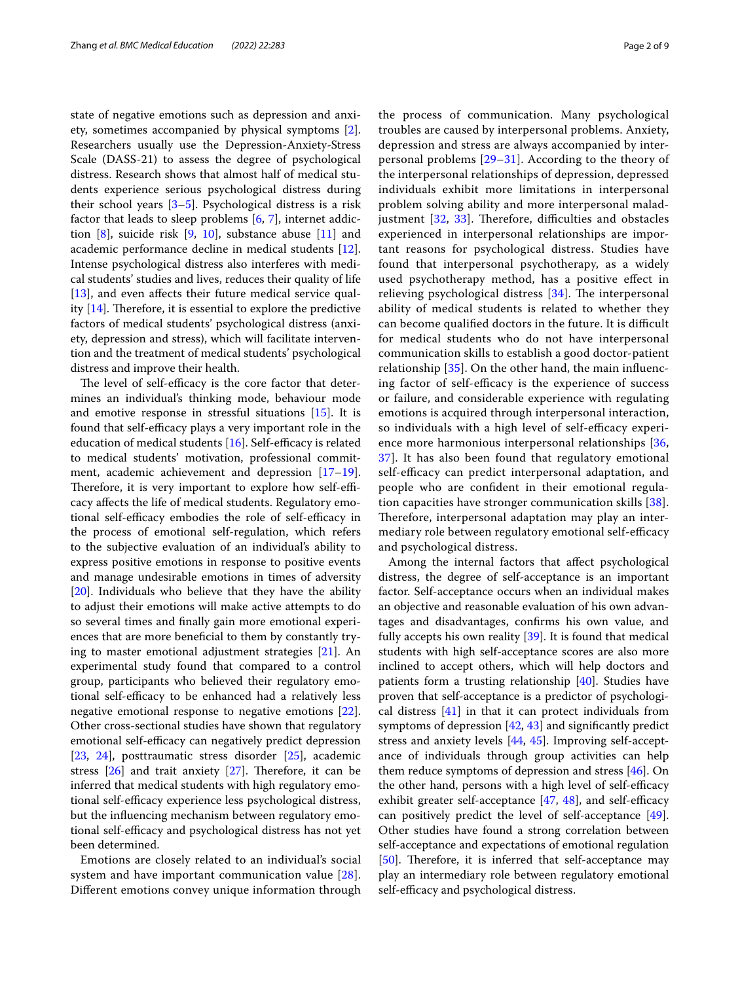state of negative emotions such as depression and anxiety, sometimes accompanied by physical symptoms [\[2](#page-7-1)]. Researchers usually use the Depression-Anxiety-Stress Scale (DASS-21) to assess the degree of psychological distress. Research shows that almost half of medical students experience serious psychological distress during their school years [\[3](#page-7-2)[–5](#page-7-3)]. Psychological distress is a risk factor that leads to sleep problems [[6,](#page-7-4) [7\]](#page-7-5), internet addiction  $[8]$  $[8]$ , suicide risk  $[9, 10]$  $[9, 10]$  $[9, 10]$ , substance abuse  $[11]$  $[11]$  and academic performance decline in medical students [\[12](#page-7-10)]. Intense psychological distress also interferes with medical students' studies and lives, reduces their quality of life [[13\]](#page-7-11), and even affects their future medical service quality  $[14]$  $[14]$ . Therefore, it is essential to explore the predictive factors of medical students' psychological distress (anxiety, depression and stress), which will facilitate intervention and the treatment of medical students' psychological distress and improve their health.

The level of self-efficacy is the core factor that determines an individual's thinking mode, behaviour mode and emotive response in stressful situations [\[15](#page-7-13)]. It is found that self-efficacy plays a very important role in the education of medical students  $[16]$  $[16]$ . Self-efficacy is related to medical students' motivation, professional commit-ment, academic achievement and depression [[17](#page-7-15)[–19](#page-7-16)]. Therefore, it is very important to explore how self-efficacy afects the life of medical students. Regulatory emotional self-efficacy embodies the role of self-efficacy in the process of emotional self-regulation, which refers to the subjective evaluation of an individual's ability to express positive emotions in response to positive events and manage undesirable emotions in times of adversity [[20\]](#page-7-17). Individuals who believe that they have the ability to adjust their emotions will make active attempts to do so several times and fnally gain more emotional experiences that are more benefcial to them by constantly trying to master emotional adjustment strategies [[21\]](#page-7-18). An experimental study found that compared to a control group, participants who believed their regulatory emotional self-efficacy to be enhanced had a relatively less negative emotional response to negative emotions [\[22](#page-7-19)]. Other cross-sectional studies have shown that regulatory emotional self-efficacy can negatively predict depression [[23,](#page-7-20) [24](#page-7-21)], posttraumatic stress disorder [\[25](#page-7-22)], academic stress  $[26]$  $[26]$  and trait anxiety  $[27]$  $[27]$  $[27]$ . Therefore, it can be inferred that medical students with high regulatory emotional self-efficacy experience less psychological distress, but the infuencing mechanism between regulatory emotional self-efficacy and psychological distress has not yet been determined.

Emotions are closely related to an individual's social system and have important communication value [[28\]](#page-7-25). Diferent emotions convey unique information through the process of communication. Many psychological troubles are caused by interpersonal problems. Anxiety, depression and stress are always accompanied by interpersonal problems [[29–](#page-7-26)[31](#page-7-27)]. According to the theory of the interpersonal relationships of depression, depressed individuals exhibit more limitations in interpersonal problem solving ability and more interpersonal maladjustment  $[32, 33]$  $[32, 33]$  $[32, 33]$ . Therefore, difficulties and obstacles experienced in interpersonal relationships are important reasons for psychological distress. Studies have found that interpersonal psychotherapy, as a widely used psychotherapy method, has a positive efect in relieving psychological distress  $[34]$  $[34]$  $[34]$ . The interpersonal ability of medical students is related to whether they can become qualified doctors in the future. It is difficult for medical students who do not have interpersonal communication skills to establish a good doctor-patient relationship [[35\]](#page-7-31). On the other hand, the main infuencing factor of self-efficacy is the experience of success or failure, and considerable experience with regulating emotions is acquired through interpersonal interaction, so individuals with a high level of self-efficacy experi-ence more harmonious interpersonal relationships [\[36](#page-7-32), [37\]](#page-7-33). It has also been found that regulatory emotional self-efficacy can predict interpersonal adaptation, and people who are confdent in their emotional regulation capacities have stronger communication skills [[38](#page-7-34)]. Therefore, interpersonal adaptation may play an intermediary role between regulatory emotional self-efficacy and psychological distress.

Among the internal factors that afect psychological distress, the degree of self-acceptance is an important factor. Self-acceptance occurs when an individual makes an objective and reasonable evaluation of his own advantages and disadvantages, confrms his own value, and fully accepts his own reality [[39](#page-8-0)]. It is found that medical students with high self-acceptance scores are also more inclined to accept others, which will help doctors and patients form a trusting relationship [[40](#page-8-1)]. Studies have proven that self-acceptance is a predictor of psychological distress [\[41](#page-8-2)] in that it can protect individuals from symptoms of depression [[42,](#page-8-3) [43](#page-8-4)] and signifcantly predict stress and anxiety levels [\[44](#page-8-5), [45\]](#page-8-6). Improving self-acceptance of individuals through group activities can help them reduce symptoms of depression and stress [[46](#page-8-7)]. On the other hand, persons with a high level of self-efficacy exhibit greater self-acceptance  $[47, 48]$  $[47, 48]$  $[47, 48]$  $[47, 48]$ , and self-efficacy can positively predict the level of self-acceptance [\[49](#page-8-10)]. Other studies have found a strong correlation between self-acceptance and expectations of emotional regulation [[50\]](#page-8-11). Therefore, it is inferred that self-acceptance may play an intermediary role between regulatory emotional self-efficacy and psychological distress.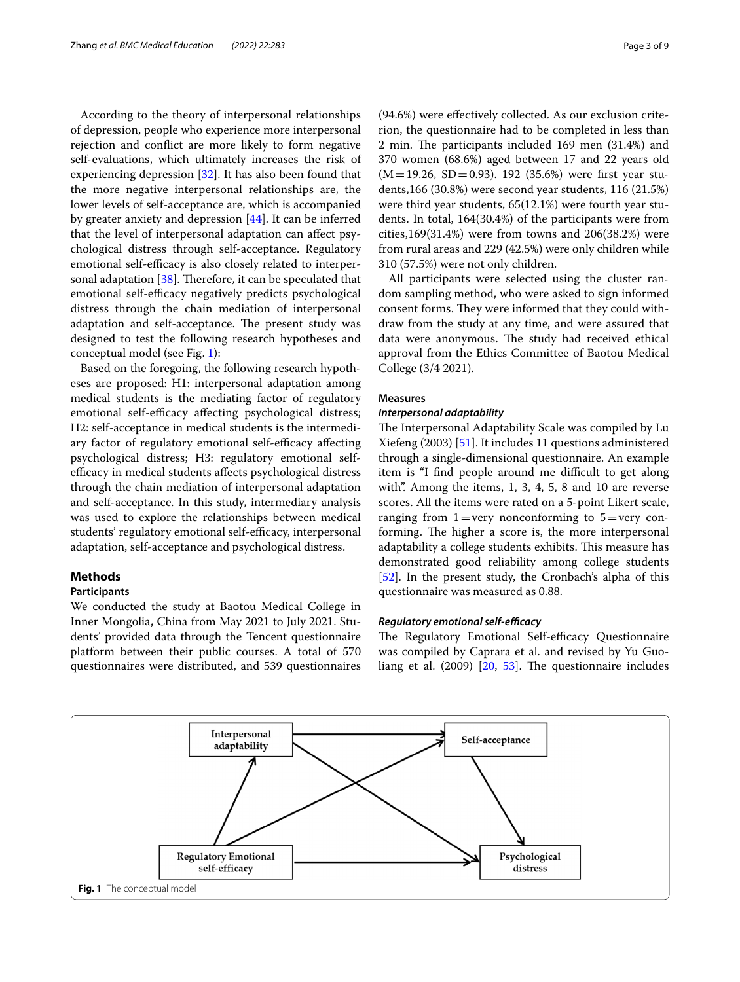According to the theory of interpersonal relationships of depression, people who experience more interpersonal rejection and confict are more likely to form negative self-evaluations, which ultimately increases the risk of experiencing depression [\[32](#page-7-28)]. It has also been found that the more negative interpersonal relationships are, the lower levels of self-acceptance are, which is accompanied by greater anxiety and depression [[44\]](#page-8-5). It can be inferred that the level of interpersonal adaptation can afect psychological distress through self-acceptance. Regulatory emotional self-efficacy is also closely related to interpersonal adaptation  $[38]$  $[38]$  $[38]$ . Therefore, it can be speculated that emotional self-efficacy negatively predicts psychological distress through the chain mediation of interpersonal adaptation and self-acceptance. The present study was designed to test the following research hypotheses and conceptual model (see Fig. [1](#page-2-0)):

Based on the foregoing, the following research hypotheses are proposed: H1: interpersonal adaptation among medical students is the mediating factor of regulatory emotional self-efficacy affecting psychological distress; H2: self-acceptance in medical students is the intermediary factor of regulatory emotional self-efficacy affecting psychological distress; H3: regulatory emotional selfefficacy in medical students affects psychological distress through the chain mediation of interpersonal adaptation and self-acceptance. In this study, intermediary analysis was used to explore the relationships between medical students' regulatory emotional self-efficacy, interpersonal adaptation, self-acceptance and psychological distress.

## **Methods**

#### **Participants**

We conducted the study at Baotou Medical College in Inner Mongolia, China from May 2021 to July 2021. Students' provided data through the Tencent questionnaire platform between their public courses. A total of 570 questionnaires were distributed, and 539 questionnaires (94.6%) were efectively collected. As our exclusion criterion, the questionnaire had to be completed in less than 2 min. The participants included 169 men (31.4%) and 370 women (68.6%) aged between 17 and 22 years old  $(M=19.26, SD=0.93)$ . 192 (35.6%) were first year students,166 (30.8%) were second year students, 116 (21.5%) were third year students, 65(12.1%) were fourth year students. In total, 164(30.4%) of the participants were from cities,169(31.4%) were from towns and 206(38.2%) were from rural areas and 229 (42.5%) were only children while 310 (57.5%) were not only children.

All participants were selected using the cluster random sampling method, who were asked to sign informed consent forms. They were informed that they could withdraw from the study at any time, and were assured that data were anonymous. The study had received ethical approval from the Ethics Committee of Baotou Medical College (3/4 2021).

#### **Measures**

#### *Interpersonal adaptability*

The Interpersonal Adaptability Scale was compiled by Lu Xiefeng (2003) [[51](#page-8-12)]. It includes 11 questions administered through a single-dimensional questionnaire. An example item is "I find people around me difficult to get along with". Among the items, 1, 3, 4, 5, 8 and 10 are reverse scores. All the items were rated on a 5-point Likert scale, ranging from  $1 = \text{very nonconforming to } 5 = \text{very con-}$ forming. The higher a score is, the more interpersonal adaptability a college students exhibits. This measure has demonstrated good reliability among college students [[52\]](#page-8-13). In the present study, the Cronbach's alpha of this questionnaire was measured as 0.88.

#### *Regulatory emotional self‑efcacy*

The Regulatory Emotional Self-efficacy Questionnaire was compiled by Caprara et al. and revised by Yu Guoliang et al.  $(2009)$   $[20, 53]$  $[20, 53]$  $[20, 53]$ . The questionnaire includes

<span id="page-2-0"></span>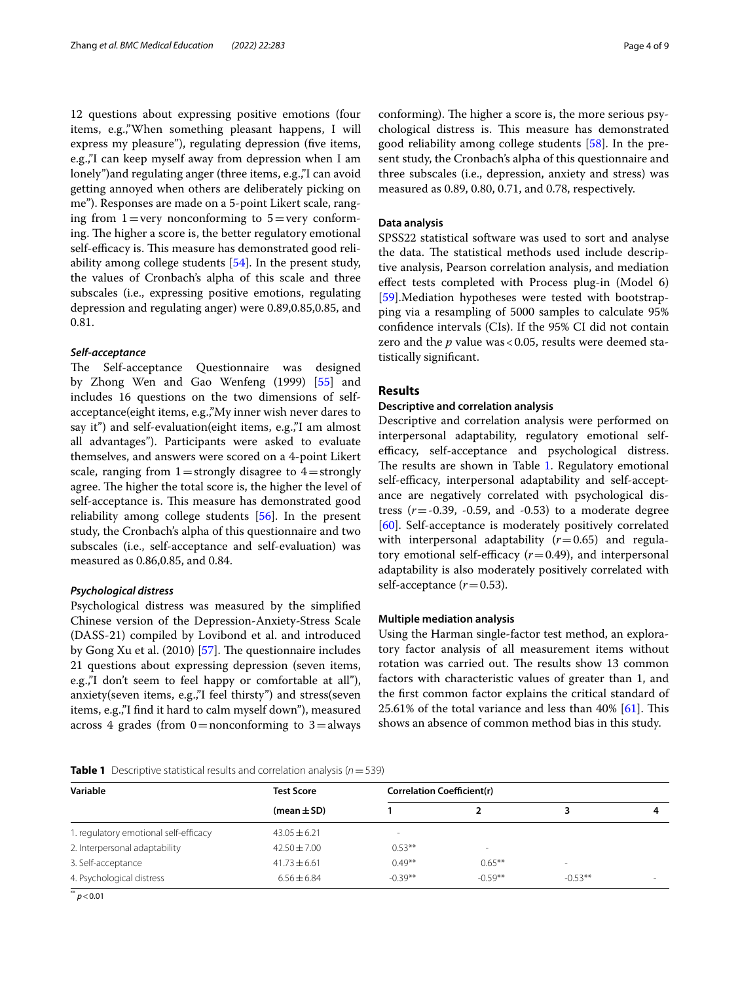12 questions about expressing positive emotions (four items, e.g.,"When something pleasant happens, I will express my pleasure"), regulating depression (five items, e.g.,"I can keep myself away from depression when I am lonely")and regulating anger (three items, e.g.,"I can avoid getting annoyed when others are deliberately picking on me"). Responses are made on a 5-point Likert scale, ranging from  $1 = \text{very nonconforming to } 5 = \text{very conform-}$ ing. The higher a score is, the better regulatory emotional self-efficacy is. This measure has demonstrated good reliability among college students [[54](#page-8-15)]. In the present study, the values of Cronbach's alpha of this scale and three subscales (i.e., expressing positive emotions, regulating depression and regulating anger) were 0.89,0.85,0.85, and 0.81.

#### *Self‑acceptance*

The Self-acceptance Questionnaire was designed by Zhong Wen and Gao Wenfeng (1999) [[55\]](#page-8-16) and includes 16 questions on the two dimensions of selfacceptance(eight items, e.g.,"My inner wish never dares to say it") and self-evaluation(eight items, e.g.,"I am almost all advantages"). Participants were asked to evaluate themselves, and answers were scored on a 4-point Likert scale, ranging from  $1=$  strongly disagree to  $4=$  strongly agree. The higher the total score is, the higher the level of self-acceptance is. This measure has demonstrated good reliability among college students [[56](#page-8-17)]. In the present study, the Cronbach's alpha of this questionnaire and two subscales (i.e., self-acceptance and self-evaluation) was measured as 0.86,0.85, and 0.84.

#### *Psychological distress*

Psychological distress was measured by the simplifed Chinese version of the Depression-Anxiety-Stress Scale (DASS-21) compiled by Lovibond et al. and introduced by Gong Xu et al.  $(2010)$  [\[57](#page-8-18)]. The questionnaire includes 21 questions about expressing depression (seven items, e.g.,"I don't seem to feel happy or comfortable at all"), anxiety(seven items, e.g.,"I feel thirsty") and stress(seven items, e.g.,"I fnd it hard to calm myself down"), measured across 4 grades (from  $0=$  nonconforming to  $3=$  always conforming). The higher a score is, the more serious psychological distress is. This measure has demonstrated good reliability among college students [\[58](#page-8-19)]. In the present study, the Cronbach's alpha of this questionnaire and three subscales (i.e., depression, anxiety and stress) was measured as 0.89, 0.80, 0.71, and 0.78, respectively.

# **Data analysis**

SPSS22 statistical software was used to sort and analyse the data. The statistical methods used include descriptive analysis, Pearson correlation analysis, and mediation efect tests completed with Process plug-in (Model 6) [[59\]](#page-8-20).Mediation hypotheses were tested with bootstrapping via a resampling of 5000 samples to calculate 95% confdence intervals (CIs). If the 95% CI did not contain zero and the *p* value was < 0.05, results were deemed statistically signifcant.

## **Results**

## **Descriptive and correlation analysis**

Descriptive and correlation analysis were performed on interpersonal adaptability, regulatory emotional selfefficacy, self-acceptance and psychological distress. The results are shown in Table [1](#page-3-0). Regulatory emotional self-efficacy, interpersonal adaptability and self-acceptance are negatively correlated with psychological distress  $(r = -0.39, -0.59, \text{ and } -0.53)$  to a moderate degree [[60\]](#page-8-21). Self-acceptance is moderately positively correlated with interpersonal adaptability  $(r=0.65)$  and regulatory emotional self-efficacy  $(r=0.49)$ , and interpersonal adaptability is also moderately positively correlated with self-acceptance  $(r=0.53)$ .

## **Multiple mediation analysis**

Using the Harman single-factor test method, an exploratory factor analysis of all measurement items without rotation was carried out. The results show 13 common factors with characteristic values of greater than 1, and the frst common factor explains the critical standard of 25.61% of the total variance and less than 40%  $[61]$  $[61]$ . This shows an absence of common method bias in this study.

<span id="page-3-0"></span>

| <b>Table 1</b> Descriptive statistical results and correlation analysis ( $n = 539$ ) |  |
|---------------------------------------------------------------------------------------|--|
|---------------------------------------------------------------------------------------|--|

| Variable                              | <b>Test Score</b> | <b>Correlation Coefficient(r)</b> |           |           |  |  |  |
|---------------------------------------|-------------------|-----------------------------------|-----------|-----------|--|--|--|
|                                       | $(mean \pm SD)$   |                                   |           |           |  |  |  |
| 1. regulatory emotional self-efficacy | $43.05 \pm 6.21$  | $\sim$                            |           |           |  |  |  |
| 2. Interpersonal adaptability         | $42.50 \pm 7.00$  | $0.53***$                         | $\,$      |           |  |  |  |
| 3. Self-acceptance                    | $41.73 \pm 6.61$  | $0.49***$                         | $0.65***$ |           |  |  |  |
| 4. Psychological distress             | $6.56 + 6.84$     | $-0.39**$                         | $-0.59**$ | $-0.53**$ |  |  |  |

\*\* *p*<0.01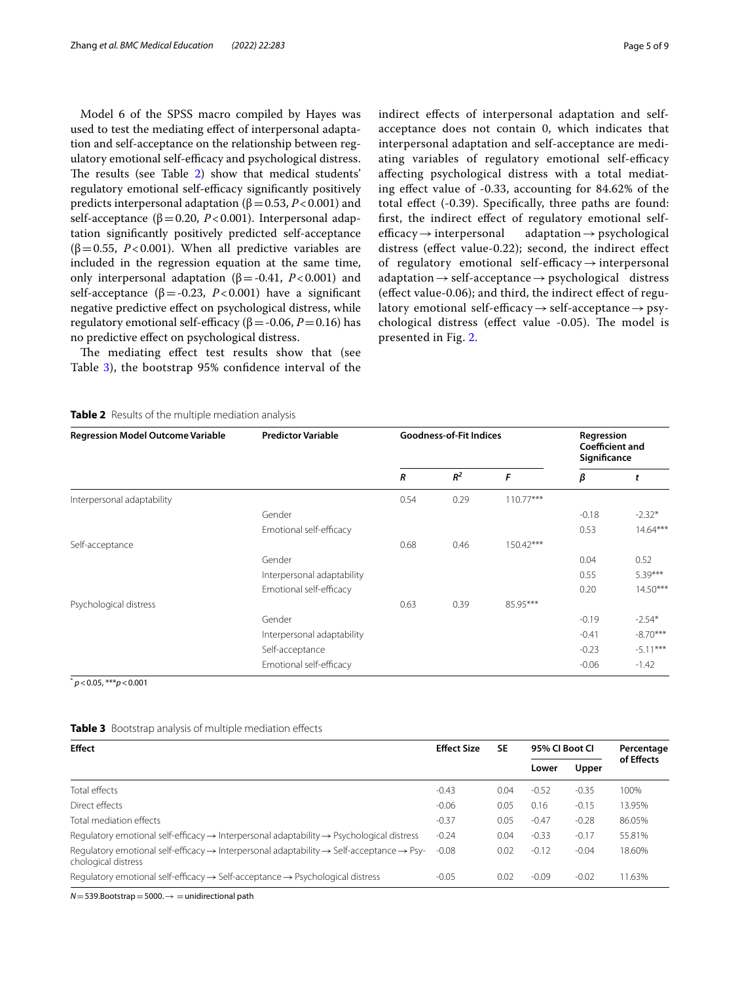Model 6 of the SPSS macro compiled by Hayes was used to test the mediating efect of interpersonal adaptation and self-acceptance on the relationship between regulatory emotional self-efficacy and psychological distress. The results (see Table [2\)](#page-4-0) show that medical students' regulatory emotional self-efficacy significantly positively predicts interpersonal adaptation (β=0.53, *P*<0.001) and self-acceptance ( $\beta$ =0.20, *P*<0.001). Interpersonal adaptation signifcantly positively predicted self-acceptance ( $\beta$ =0.55, *P*<0.001). When all predictive variables are included in the regression equation at the same time, only interpersonal adaptation ( $β = -0.41$ ,  $P < 0.001$ ) and self-acceptance ( $β = -0.23$ ,  $P < 0.001$ ) have a significant negative predictive efect on psychological distress, while regulatory emotional self-efficacy ( $β = -0.06$ ,  $P = 0.16$ ) has no predictive efect on psychological distress.

The mediating effect test results show that (see Table [3](#page-4-1)), the bootstrap 95% confdence interval of the indirect efects of interpersonal adaptation and selfacceptance does not contain 0, which indicates that interpersonal adaptation and self-acceptance are mediating variables of regulatory emotional self-efficacy afecting psychological distress with a total mediating efect value of -0.33, accounting for 84.62% of the total efect (-0.39). Specifcally, three paths are found: frst, the indirect efect of regulatory emotional selfefficacy  $\rightarrow$  interpersonal adaptation  $\rightarrow$  psychological distress (effect value-0.22); second, the indirect effect of regulatory emotional self-efficacy $\rightarrow$  interpersonal  $adaptation \rightarrow self-acceptance \rightarrow psychological$  distress (efect value-0.06); and third, the indirect efect of regulatory emotional self-efficacy  $\rightarrow$  self-acceptance  $\rightarrow$  psychological distress (effect value -0.05). The model is presented in Fig. [2](#page-5-0).

#### <span id="page-4-0"></span>**Table 2** Results of the multiple mediation analysis

| <b>Regression Model Outcome Variable</b> | <b>Predictor Variable</b>  | <b>Goodness-of-Fit Indices</b> |       |             | Regression<br><b>Coefficient and</b><br>Significance |            |
|------------------------------------------|----------------------------|--------------------------------|-------|-------------|------------------------------------------------------|------------|
|                                          |                            | R                              | $R^2$ | F           | β                                                    | t          |
| Interpersonal adaptability               |                            | 0.54                           | 0.29  | $110.77***$ |                                                      |            |
|                                          | Gender                     |                                |       |             | $-0.18$                                              | $-2.32*$   |
|                                          | Emotional self-efficacy    |                                |       |             | 0.53                                                 | $14.64***$ |
| Self-acceptance                          |                            | 0.68                           | 0.46  | 150.42***   |                                                      |            |
|                                          | Gender                     |                                |       |             | 0.04                                                 | 0.52       |
|                                          | Interpersonal adaptability |                                |       |             | 0.55                                                 | 5.39***    |
|                                          | Emotional self-efficacy    |                                |       |             | 0.20                                                 | 14.50***   |
| Psychological distress                   |                            | 0.63                           | 0.39  | 85.95***    |                                                      |            |
|                                          | Gender                     |                                |       |             | $-0.19$                                              | $-2.54*$   |
|                                          | Interpersonal adaptability |                                |       |             | $-0.41$                                              | $-8.70***$ |
|                                          | Self-acceptance            |                                |       |             | $-0.23$                                              | $-5.11***$ |
|                                          | Emotional self-efficacy    |                                |       |             | $-0.06$                                              | $-1.42$    |

\* *p*<0.05, \*\*\**p*<0.001

<span id="page-4-1"></span>

| <b>Table 3</b> Bootstrap analysis of multiple mediation effects |  |  |  |  |
|-----------------------------------------------------------------|--|--|--|--|
|-----------------------------------------------------------------|--|--|--|--|

| <b>Effect</b>                                                                                                                                       | <b>Effect Size</b> | <b>SE</b> | 95% CI Boot CI |         | Percentage |
|-----------------------------------------------------------------------------------------------------------------------------------------------------|--------------------|-----------|----------------|---------|------------|
|                                                                                                                                                     |                    |           | Lower          | Upper   | of Effects |
| Total effects                                                                                                                                       | $-0.43$            | 0.04      | $-0.52$        | $-0.35$ | 100%       |
| Direct effects                                                                                                                                      | $-0.06$            | 0.05      | 0.16           | $-0.15$ | 13.95%     |
| Total mediation effects                                                                                                                             | $-0.37$            | 0.05      | $-0.47$        | $-0.28$ | 86.05%     |
| Requlatory emotional self-efficacy $\rightarrow$ Interpersonal adaptability $\rightarrow$ Psychological distress                                    | $-0.24$            | 0.04      | $-0.33$        | $-0.17$ | 55.81%     |
| Requlatory emotional self-efficacy $\rightarrow$ Interpersonal adaptability $\rightarrow$ Self-acceptance $\rightarrow$ Psy-<br>chological distress | $-0.08$            | 0.02      | $-0.12$        | $-0.04$ | 18.60%     |
| Requlatory emotional self-efficacy $\rightarrow$ Self-acceptance $\rightarrow$ Psychological distress                                               | $-0.05$            | 0.02      | $-0.09$        | $-0.02$ | 11.63%     |

*N*=539.Bootstrap=5000.→ =unidirectional path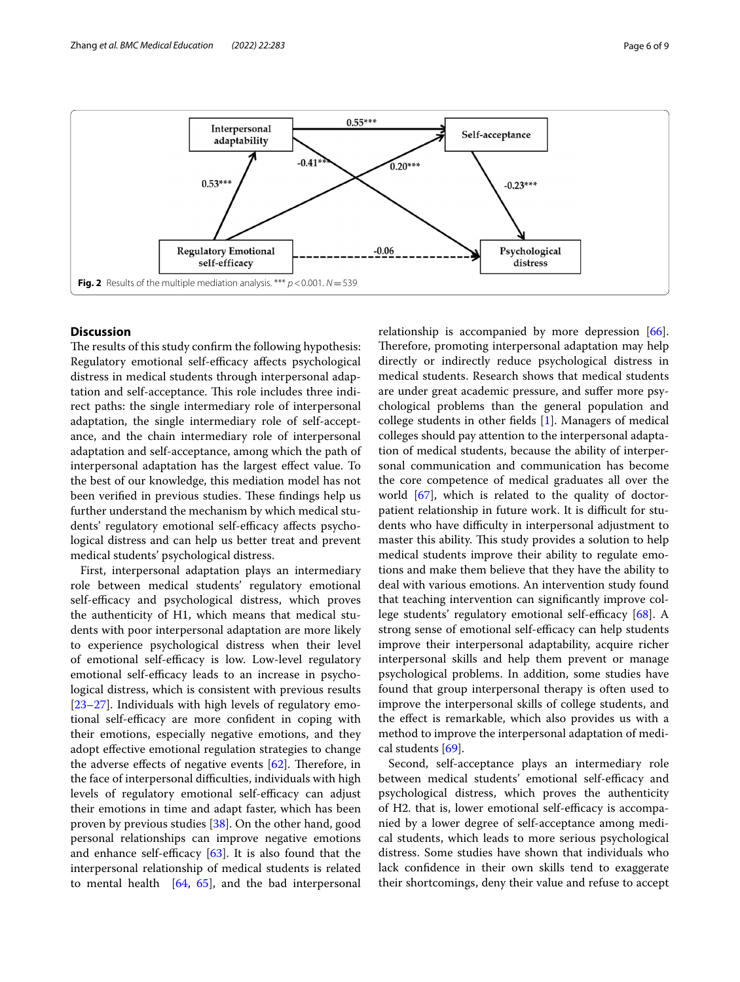

# <span id="page-5-0"></span>**Discussion**

The results of this study confirm the following hypothesis: Regulatory emotional self-efficacy affects psychological distress in medical students through interpersonal adaptation and self-acceptance. This role includes three indirect paths: the single intermediary role of interpersonal adaptation, the single intermediary role of self-acceptance, and the chain intermediary role of interpersonal adaptation and self-acceptance, among which the path of interpersonal adaptation has the largest efect value. To the best of our knowledge, this mediation model has not been verified in previous studies. These findings help us further understand the mechanism by which medical students' regulatory emotional self-efficacy affects psychological distress and can help us better treat and prevent medical students' psychological distress.

First, interpersonal adaptation plays an intermediary role between medical students' regulatory emotional self-efficacy and psychological distress, which proves the authenticity of H1, which means that medical students with poor interpersonal adaptation are more likely to experience psychological distress when their level of emotional self-efficacy is low. Low-level regulatory emotional self-efficacy leads to an increase in psychological distress, which is consistent with previous results [[23–](#page-7-20)[27](#page-7-24)]. Individuals with high levels of regulatory emotional self-efficacy are more confident in coping with their emotions, especially negative emotions, and they adopt effective emotional regulation strategies to change the adverse effects of negative events  $[62]$  $[62]$  $[62]$ . Therefore, in the face of interpersonal difficulties, individuals with high levels of regulatory emotional self-efficacy can adjust their emotions in time and adapt faster, which has been proven by previous studies [[38](#page-7-34)]. On the other hand, good personal relationships can improve negative emotions and enhance self-efficacy  $[63]$  $[63]$ . It is also found that the interpersonal relationship of medical students is related to mental health  $[64, 65]$  $[64, 65]$  $[64, 65]$  $[64, 65]$ , and the bad interpersonal relationship is accompanied by more depression [\[66](#page-8-27)]. Therefore, promoting interpersonal adaptation may help directly or indirectly reduce psychological distress in medical students. Research shows that medical students are under great academic pressure, and sufer more psychological problems than the general population and college students in other felds [\[1](#page-7-0)]. Managers of medical colleges should pay attention to the interpersonal adaptation of medical students, because the ability of interpersonal communication and communication has become the core competence of medical graduates all over the world [\[67](#page-8-28)], which is related to the quality of doctorpatient relationship in future work. It is difficult for students who have difficulty in interpersonal adjustment to master this ability. This study provides a solution to help medical students improve their ability to regulate emotions and make them believe that they have the ability to deal with various emotions. An intervention study found that teaching intervention can signifcantly improve college students' regulatory emotional self-efficacy  $[68]$  $[68]$ . A strong sense of emotional self-efficacy can help students improve their interpersonal adaptability, acquire richer interpersonal skills and help them prevent or manage psychological problems. In addition, some studies have found that group interpersonal therapy is often used to improve the interpersonal skills of college students, and the efect is remarkable, which also provides us with a method to improve the interpersonal adaptation of medical students [[69](#page-8-30)].

Second, self-acceptance plays an intermediary role between medical students' emotional self-efficacy and psychological distress, which proves the authenticity of H2. that is, lower emotional self-efficacy is accompanied by a lower degree of self-acceptance among medical students, which leads to more serious psychological distress. Some studies have shown that individuals who lack confdence in their own skills tend to exaggerate their shortcomings, deny their value and refuse to accept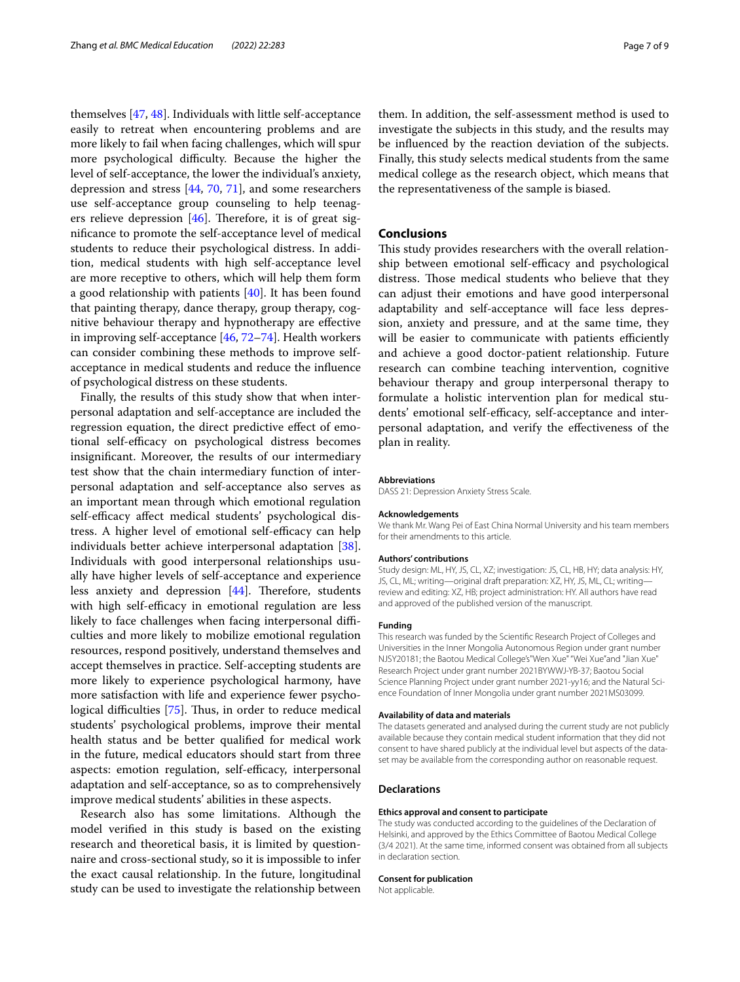themselves [\[47,](#page-8-8) [48](#page-8-9)]. Individuals with little self-acceptance easily to retreat when encountering problems and are more likely to fail when facing challenges, which will spur more psychological difficulty. Because the higher the level of self-acceptance, the lower the individual's anxiety, depression and stress [[44,](#page-8-5) [70,](#page-8-31) [71](#page-8-32)], and some researchers use self-acceptance group counseling to help teenagers relieve depression  $[46]$  $[46]$ . Therefore, it is of great signifcance to promote the self-acceptance level of medical students to reduce their psychological distress. In addition, medical students with high self-acceptance level are more receptive to others, which will help them form a good relationship with patients [\[40](#page-8-1)]. It has been found that painting therapy, dance therapy, group therapy, cognitive behaviour therapy and hypnotherapy are efective in improving self-acceptance [[46,](#page-8-7) [72](#page-8-33)[–74](#page-8-34)]. Health workers can consider combining these methods to improve selfacceptance in medical students and reduce the infuence of psychological distress on these students.

Finally, the results of this study show that when interpersonal adaptation and self-acceptance are included the regression equation, the direct predictive efect of emotional self-efficacy on psychological distress becomes insignifcant. Moreover, the results of our intermediary test show that the chain intermediary function of interpersonal adaptation and self-acceptance also serves as an important mean through which emotional regulation self-efficacy affect medical students' psychological distress. A higher level of emotional self-efficacy can help individuals better achieve interpersonal adaptation [\[38](#page-7-34)]. Individuals with good interpersonal relationships usually have higher levels of self-acceptance and experience less anxiety and depression  $[44]$  $[44]$ . Therefore, students with high self-efficacy in emotional regulation are less likely to face challenges when facing interpersonal difficulties and more likely to mobilize emotional regulation resources, respond positively, understand themselves and accept themselves in practice. Self-accepting students are more likely to experience psychological harmony, have more satisfaction with life and experience fewer psycho-logical difficulties [\[75](#page-8-35)]. Thus, in order to reduce medical students' psychological problems, improve their mental health status and be better qualifed for medical work in the future, medical educators should start from three aspects: emotion regulation, self-efficacy, interpersonal adaptation and self-acceptance, so as to comprehensively improve medical students' abilities in these aspects.

Research also has some limitations. Although the model verifed in this study is based on the existing research and theoretical basis, it is limited by questionnaire and cross-sectional study, so it is impossible to infer the exact causal relationship. In the future, longitudinal study can be used to investigate the relationship between

them. In addition, the self-assessment method is used to investigate the subjects in this study, and the results may be infuenced by the reaction deviation of the subjects. Finally, this study selects medical students from the same medical college as the research object, which means that the representativeness of the sample is biased.

#### **Conclusions**

This study provides researchers with the overall relationship between emotional self-efficacy and psychological distress. Those medical students who believe that they can adjust their emotions and have good interpersonal adaptability and self-acceptance will face less depression, anxiety and pressure, and at the same time, they will be easier to communicate with patients efficiently and achieve a good doctor-patient relationship. Future research can combine teaching intervention, cognitive behaviour therapy and group interpersonal therapy to formulate a holistic intervention plan for medical students' emotional self-efficacy, self-acceptance and interpersonal adaptation, and verify the efectiveness of the plan in reality.

#### **Abbreviations**

DASS 21: Depression Anxiety Stress Scale.

#### **Acknowledgements**

We thank Mr. Wang Pei of East China Normal University and his team members for their amendments to this article.

#### **Authors' contributions**

Study design: ML, HY, JS, CL, XZ; investigation: JS, CL, HB, HY; data analysis: HY, JS, CL, ML; writing—original draft preparation: XZ, HY, JS, ML, CL; writing review and editing: XZ, HB; project administration: HY. All authors have read and approved of the published version of the manuscript.

#### **Funding**

This research was funded by the Scientifc Research Project of Colleges and Universities in the Inner Mongolia Autonomous Region under grant number NJSY20181; the Baotou Medical College's"Wen Xue" "Wei Xue"and "Jian Xue" Research Project under grant number 2021BYWWJ-YB-37; Baotou Social Science Planning Project under grant number 2021-yy16; and the Natural Science Foundation of Inner Mongolia under grant number 2021MS03099.

#### **Availability of data and materials**

The datasets generated and analysed during the current study are not publicly available because they contain medical student information that they did not consent to have shared publicly at the individual level but aspects of the dataset may be available from the corresponding author on reasonable request.

#### **Declarations**

#### **Ethics approval and consent to participate**

The study was conducted according to the guidelines of the Declaration of Helsinki, and approved by the Ethics Committee of Baotou Medical College (3/4 2021). At the same time, informed consent was obtained from all subjects in declaration section.

#### **Consent for publication**

Not applicable.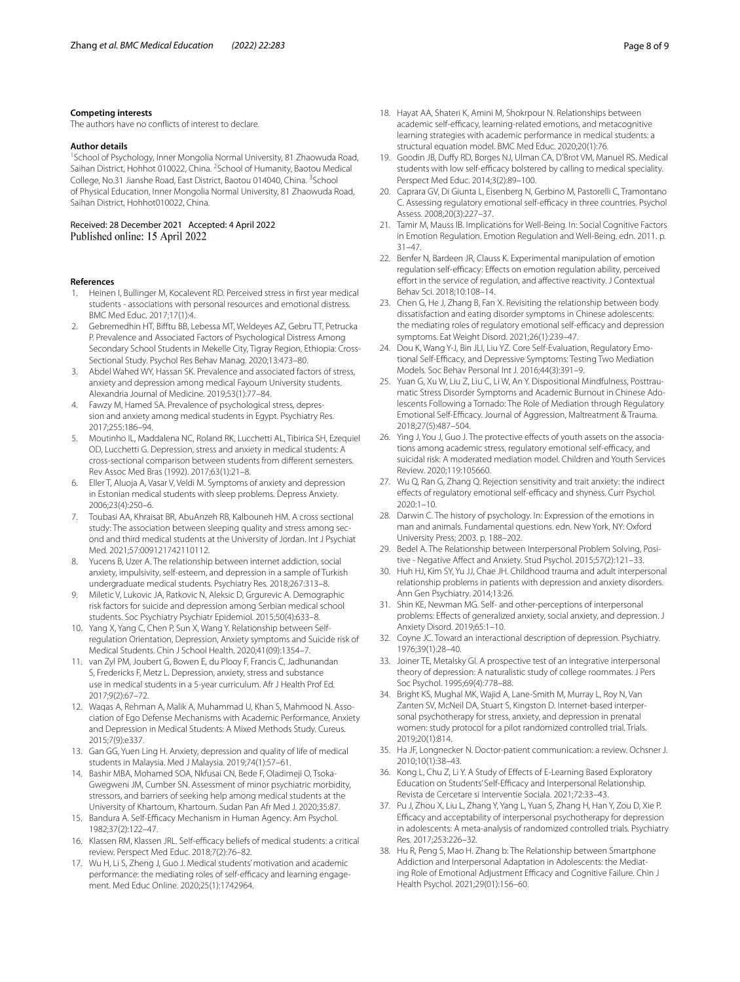#### **Competing interests**

The authors have no conficts of interest to declare.

#### **Author details**

<sup>1</sup> School of Psychology, Inner Mongolia Normal University, 81 Zhaowuda Road, Saihan District, Hohhot 010022, China. <sup>2</sup> School of Humanity, Baotou Medical College, No.31 Jianshe Road, East District, Baotou 014040, China. <sup>3</sup>School of Physical Education, Inner Mongolia Normal University, 81 Zhaowuda Road, Saihan District, Hohhot010022, China.

Received: 28 December 2021 Accepted: 4 April 2022

#### **References**

- <span id="page-7-0"></span>1. Heinen I, Bullinger M, Kocalevent RD. Perceived stress in frst year medical students - associations with personal resources and emotional distress. BMC Med Educ. 2017;17(1):4.
- <span id="page-7-1"></span>2. Gebremedhin HT, Biftu BB, Lebessa MT, Weldeyes AZ, Gebru TT, Petrucka P. Prevalence and Associated Factors of Psychological Distress Among Secondary School Students in Mekelle City, Tigray Region, Ethiopia: Cross-Sectional Study. Psychol Res Behav Manag. 2020;13:473–80.
- <span id="page-7-2"></span>3. Abdel Wahed WY, Hassan SK. Prevalence and associated factors of stress, anxiety and depression among medical Fayoum University students. Alexandria Journal of Medicine. 2019;53(1):77–84.
- 4. Fawzy M, Hamed SA. Prevalence of psychological stress, depression and anxiety among medical students in Egypt. Psychiatry Res. 2017;255:186–94.
- <span id="page-7-3"></span>5. Moutinho IL, Maddalena NC, Roland RK, Lucchetti AL, Tibirica SH, Ezequiel OD, Lucchetti G. Depression, stress and anxiety in medical students: A cross-sectional comparison between students from diferent semesters. Rev Assoc Med Bras (1992). 2017;63(1):21–8.
- <span id="page-7-4"></span>6. Eller T, Aluoja A, Vasar V, Veldi M. Symptoms of anxiety and depression in Estonian medical students with sleep problems. Depress Anxiety. 2006;23(4):250–6.
- <span id="page-7-5"></span>7. Toubasi AA, Khraisat BR, AbuAnzeh RB, Kalbouneh HM. A cross sectional study: The association between sleeping quality and stress among second and third medical students at the University of Jordan. Int J Psychiat Med. 2021;57:009121742110112.
- <span id="page-7-6"></span>8. Yucens B, Uzer A. The relationship between internet addiction, social anxiety, impulsivity, self-esteem, and depression in a sample of Turkish undergraduate medical students. Psychiatry Res. 2018;267:313–8.
- <span id="page-7-7"></span>9. Miletic V, Lukovic JA, Ratkovic N, Aleksic D, Grgurevic A. Demographic risk factors for suicide and depression among Serbian medical school students. Soc Psychiatry Psychiatr Epidemiol. 2015;50(4):633–8.
- <span id="page-7-8"></span>10. Yang X, Yang C, Chen P, Sun X, Wang Y. Relationship between Selfregulation Orientation, Depression, Anxiety symptoms and Suicide risk of Medical Students. Chin J School Health. 2020;41(09):1354–7.
- <span id="page-7-9"></span>11. van Zyl PM, Joubert G, Bowen E, du Plooy F, Francis C, Jadhunandan S, Fredericks F, Metz L. Depression, anxiety, stress and substance use in medical students in a 5-year curriculum. Afr J Health Prof Ed. 2017;9(2):67–72.
- <span id="page-7-10"></span>12. Waqas A, Rehman A, Malik A, Muhammad U, Khan S, Mahmood N. Association of Ego Defense Mechanisms with Academic Performance, Anxiety and Depression in Medical Students: A Mixed Methods Study. Cureus. 2015;7(9):e337.
- <span id="page-7-11"></span>13. Gan GG, Yuen Ling H. Anxiety, depression and quality of life of medical students in Malaysia. Med J Malaysia. 2019;74(1):57–61.
- <span id="page-7-12"></span>14. Bashir MBA, Mohamed SOA, Nkfusai CN, Bede F, Oladimeji O, Tsoka-Gwegweni JM, Cumber SN. Assessment of minor psychiatric morbidity, stressors, and barriers of seeking help among medical students at the University of Khartoum, Khartoum. Sudan Pan Afr Med J. 2020;35:87.
- <span id="page-7-13"></span>15. Bandura A. Self-Efficacy Mechanism in Human Agency. Am Psychol. 1982;37(2):122–47.
- <span id="page-7-14"></span>16. Klassen RM, Klassen JRL. Self-efficacy beliefs of medical students: a critical review. Perspect Med Educ. 2018;7(2):76–82.
- <span id="page-7-15"></span>17. Wu H, Li S, Zheng J, Guo J. Medical students' motivation and academic performance: the mediating roles of self-efficacy and learning engagement. Med Educ Online. 2020;25(1):1742964.
- 18. Hayat AA, Shateri K, Amini M, Shokrpour N. Relationships between academic self-efficacy, learning-related emotions, and metacognitive learning strategies with academic performance in medical students: a structural equation model. BMC Med Educ. 2020;20(1):76.
- <span id="page-7-16"></span>19. Goodin JB, Dufy RD, Borges NJ, Ulman CA, D'Brot VM, Manuel RS. Medical students with low self-efficacy bolstered by calling to medical speciality. Perspect Med Educ. 2014;3(2):89–100.
- <span id="page-7-17"></span>20. Caprara GV, Di Giunta L, Eisenberg N, Gerbino M, Pastorelli C, Tramontano C. Assessing regulatory emotional self-efficacy in three countries. Psychol Assess. 2008;20(3):227–37.
- <span id="page-7-18"></span>21. Tamir M, Mauss IB. Implications for Well-Being. In: Social Cognitive Factors in Emotion Regulation. Emotion Regulation and Well-Being. edn. 2011. p. 31–47.
- <span id="page-7-19"></span>22. Benfer N, Bardeen JR, Clauss K. Experimental manipulation of emotion regulation self-efficacy: Effects on emotion regulation ability, perceived effort in the service of regulation, and affective reactivity. J Contextual Behav Sci. 2018;10:108–14.
- <span id="page-7-20"></span>23. Chen G, He J, Zhang B, Fan X. Revisiting the relationship between body dissatisfaction and eating disorder symptoms in Chinese adolescents: the mediating roles of regulatory emotional self-efficacy and depression symptoms. Eat Weight Disord. 2021;26(1):239–47.
- <span id="page-7-21"></span>24. Dou K, Wang Y-J, Bin JLI, Liu YZ. Core Self-Evaluation, Regulatory Emotional Self-Efficacy, and Depressive Symptoms: Testing Two Mediation Models. Soc Behav Personal Int J. 2016;44(3):391–9.
- <span id="page-7-22"></span>25. Yuan G, Xu W, Liu Z, Liu C, Li W, An Y. Dispositional Mindfulness, Posttraumatic Stress Disorder Symptoms and Academic Burnout in Chinese Adolescents Following a Tornado: The Role of Mediation through Regulatory Emotional Self-Efficacy. Journal of Aggression, Maltreatment & Trauma. 2018;27(5):487–504.
- <span id="page-7-23"></span>26. Ying J, You J, Guo J. The protective effects of youth assets on the associations among academic stress, regulatory emotional self-efficacy, and suicidal risk: A moderated mediation model. Children and Youth Services Review. 2020;119:105660.
- <span id="page-7-24"></span>27. Wu Q, Ran G, Zhang Q. Rejection sensitivity and trait anxiety: the indirect effects of regulatory emotional self-efficacy and shyness. Curr Psychol. 2020:1–10.
- <span id="page-7-25"></span>28. Darwin C. The history of psychology. In: Expression of the emotions in man and animals. Fundamental questions. edn. New York, NY: Oxford University Press; 2003. p. 188–202.
- <span id="page-7-26"></span>29. Bedel A. The Relationship between Interpersonal Problem Solving, Positive - Negative Afect and Anxiety. Stud Psychol. 2015;57(2):121–33.
- 30. Huh HJ, Kim SY, Yu JJ, Chae JH. Childhood trauma and adult interpersonal relationship problems in patients with depression and anxiety disorders. Ann Gen Psychiatry. 2014;13:26.
- <span id="page-7-27"></span>31. Shin KE, Newman MG. Self- and other-perceptions of interpersonal problems: Efects of generalized anxiety, social anxiety, and depression. J Anxiety Disord. 2019;65:1–10.
- <span id="page-7-28"></span>32. Coyne JC. Toward an interactional description of depression. Psychiatry. 1976;39(1):28–40.
- <span id="page-7-29"></span>33. Joiner TE, Metalsky GI. A prospective test of an integrative interpersonal theory of depression: A naturalistic study of college roommates. J Pers Soc Psychol. 1995;69(4):778–88.
- <span id="page-7-30"></span>34. Bright KS, Mughal MK, Wajid A, Lane-Smith M, Murray L, Roy N, Van Zanten SV, McNeil DA, Stuart S, Kingston D. Internet-based interpersonal psychotherapy for stress, anxiety, and depression in prenatal women: study protocol for a pilot randomized controlled trial. Trials. 2019;20(1):814.
- <span id="page-7-31"></span>35. Ha JF, Longnecker N. Doctor-patient communication: a review. Ochsner J. 2010;10(1):38–43.
- <span id="page-7-32"></span>36. Kong L, Chu Z, Li Y. A Study of Efects of E-Learning Based Exploratory Education on Students' Self-Efficacy and Interpersonal Relationship. Revista de Cercetare si Interventie Sociala. 2021;72:33–43.
- <span id="page-7-33"></span>37. Pu J, Zhou X, Liu L, Zhang Y, Yang L, Yuan S, Zhang H, Han Y, Zou D, Xie P. Efficacy and acceptability of interpersonal psychotherapy for depression in adolescents: A meta-analysis of randomized controlled trials. Psychiatry Res. 2017;253:226–32.
- <span id="page-7-34"></span>38. Hu R, Peng S, Mao H. Zhang b: The Relationship between Smartphone Addiction and Interpersonal Adaptation in Adolescents: the Mediating Role of Emotional Adjustment Efficacy and Cognitive Failure. Chin J Health Psychol. 2021;29(01):156–60.